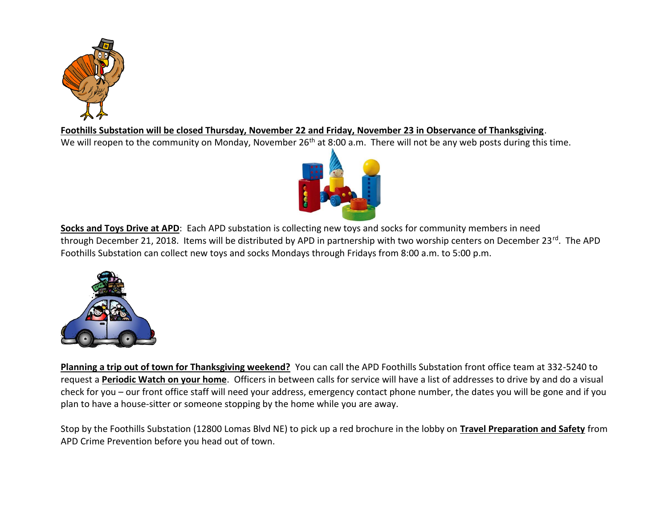

**Foothills Substation will be closed Thursday, November 22 and Friday, November 23 in Observance of Thanksgiving**.

We will reopen to the community on Monday, November 26<sup>th</sup> at 8:00 a.m. There will not be any web posts during this time.



**Socks and Toys Drive at APD**: Each APD substation is collecting new toys and socks for community members in need through December 21, 2018. Items will be distributed by APD in partnership with two worship centers on December 23rd. The APD Foothills Substation can collect new toys and socks Mondays through Fridays from 8:00 a.m. to 5:00 p.m.



**Planning a trip out of town for Thanksgiving weekend?** You can call the APD Foothills Substation front office team at 332-5240 to request a **Periodic Watch on your home**. Officers in between calls for service will have a list of addresses to drive by and do a visual check for you – our front office staff will need your address, emergency contact phone number, the dates you will be gone and if you plan to have a house-sitter or someone stopping by the home while you are away.

Stop by the Foothills Substation (12800 Lomas Blvd NE) to pick up a red brochure in the lobby on **Travel Preparation and Safety** from APD Crime Prevention before you head out of town.